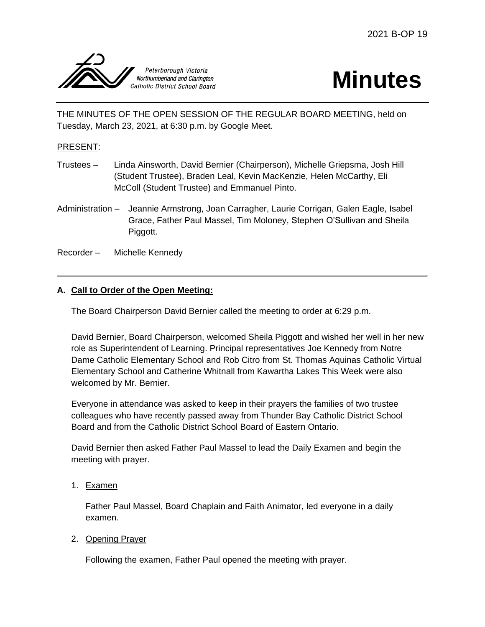

# **Minutes**

THE MINUTES OF THE OPEN SESSION OF THE REGULAR BOARD MEETING, held on Tuesday, March 23, 2021, at 6:30 p.m. by Google Meet.

# PRESENT:

- Trustees Linda Ainsworth, David Bernier (Chairperson), Michelle Griepsma, Josh Hill (Student Trustee), Braden Leal, Kevin MacKenzie, Helen McCarthy, Eli McColl (Student Trustee) and Emmanuel Pinto.
- Administration Jeannie Armstrong, Joan Carragher, Laurie Corrigan, Galen Eagle, Isabel Grace, Father Paul Massel, Tim Moloney, Stephen O'Sullivan and Sheila Piggott.
- Recorder Michelle Kennedy

### **A. Call to Order of the Open Meeting:**

The Board Chairperson David Bernier called the meeting to order at 6:29 p.m.

David Bernier, Board Chairperson, welcomed Sheila Piggott and wished her well in her new role as Superintendent of Learning. Principal representatives Joe Kennedy from Notre Dame Catholic Elementary School and Rob Citro from St. Thomas Aquinas Catholic Virtual Elementary School and Catherine Whitnall from Kawartha Lakes This Week were also welcomed by Mr. Bernier.

Everyone in attendance was asked to keep in their prayers the families of two trustee colleagues who have recently passed away from Thunder Bay Catholic District School Board and from the Catholic District School Board of Eastern Ontario.

David Bernier then asked Father Paul Massel to lead the Daily Examen and begin the meeting with prayer.

#### 1. Examen

Father Paul Massel, Board Chaplain and Faith Animator, led everyone in a daily examen.

#### 2. Opening Prayer

Following the examen, Father Paul opened the meeting with prayer.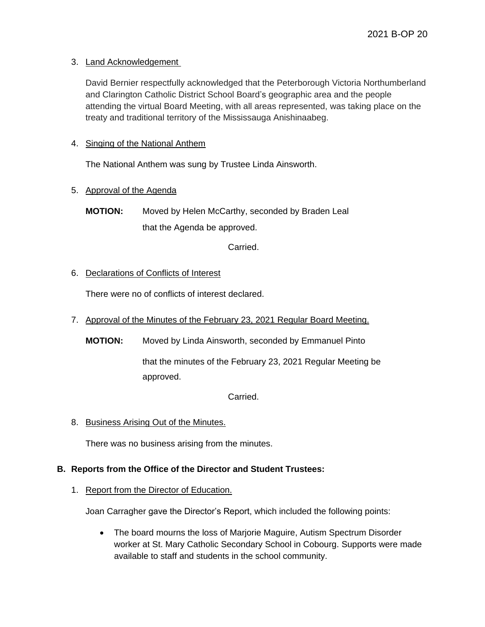#### 3. Land Acknowledgement

David Bernier respectfully acknowledged that the Peterborough Victoria Northumberland and Clarington Catholic District School Board's geographic area and the people attending the virtual Board Meeting, with all areas represented, was taking place on the treaty and traditional territory of the Mississauga Anishinaabeg.

# 4. Singing of the National Anthem

The National Anthem was sung by Trustee Linda Ainsworth.

### 5. Approval of the Agenda

**MOTION:** Moved by Helen McCarthy, seconded by Braden Leal that the Agenda be approved.

Carried.

### 6. Declarations of Conflicts of Interest

There were no of conflicts of interest declared.

- 7. Approval of the Minutes of the February 23, 2021 Regular Board Meeting.
	- **MOTION:** Moved by Linda Ainsworth, seconded by Emmanuel Pinto that the minutes of the February 23, 2021 Regular Meeting be approved.

Carried.

8. Business Arising Out of the Minutes.

There was no business arising from the minutes.

#### **B. Reports from the Office of the Director and Student Trustees:**

#### 1. Report from the Director of Education.

Joan Carragher gave the Director's Report, which included the following points:

 The board mourns the loss of Marjorie Maguire, Autism Spectrum Disorder worker at St. Mary Catholic Secondary School in Cobourg. Supports were made available to staff and students in the school community.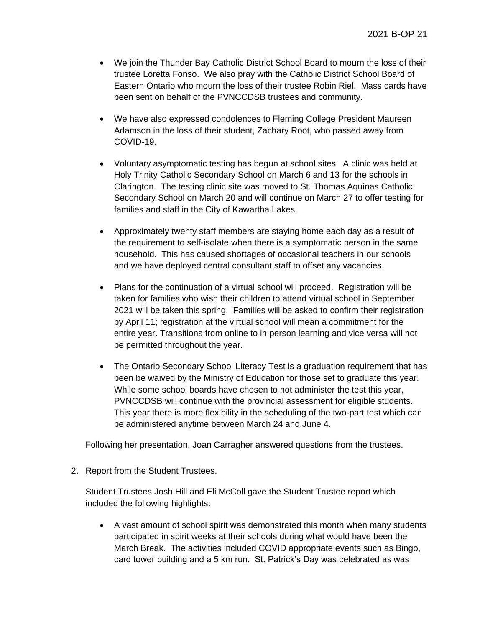- We join the Thunder Bay Catholic District School Board to mourn the loss of their trustee Loretta Fonso. We also pray with the Catholic District School Board of Eastern Ontario who mourn the loss of their trustee Robin Riel. Mass cards have been sent on behalf of the PVNCCDSB trustees and community.
- We have also expressed condolences to Fleming College President Maureen Adamson in the loss of their student, Zachary Root, who passed away from COVID-19.
- Voluntary asymptomatic testing has begun at school sites. A clinic was held at Holy Trinity Catholic Secondary School on March 6 and 13 for the schools in Clarington. The testing clinic site was moved to St. Thomas Aquinas Catholic Secondary School on March 20 and will continue on March 27 to offer testing for families and staff in the City of Kawartha Lakes.
- Approximately twenty staff members are staying home each day as a result of the requirement to self-isolate when there is a symptomatic person in the same household. This has caused shortages of occasional teachers in our schools and we have deployed central consultant staff to offset any vacancies.
- Plans for the continuation of a virtual school will proceed. Registration will be taken for families who wish their children to attend virtual school in September 2021 will be taken this spring. Families will be asked to confirm their registration by April 11; registration at the virtual school will mean a commitment for the entire year. Transitions from online to in person learning and vice versa will not be permitted throughout the year.
- The Ontario Secondary School Literacy Test is a graduation requirement that has been be waived by the Ministry of Education for those set to graduate this year. While some school boards have chosen to not administer the test this year, PVNCCDSB will continue with the provincial assessment for eligible students. This year there is more flexibility in the scheduling of the two-part test which can be administered anytime between March 24 and June 4.

Following her presentation, Joan Carragher answered questions from the trustees.

#### 2. Report from the Student Trustees.

Student Trustees Josh Hill and Eli McColl gave the Student Trustee report which included the following highlights:

 A vast amount of school spirit was demonstrated this month when many students participated in spirit weeks at their schools during what would have been the March Break. The activities included COVID appropriate events such as Bingo, card tower building and a 5 km run. St. Patrick's Day was celebrated as was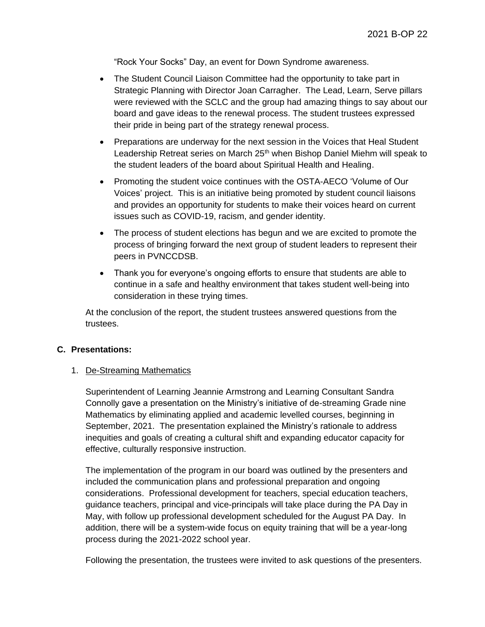"Rock Your Socks" Day, an event for Down Syndrome awareness.

- The Student Council Liaison Committee had the opportunity to take part in Strategic Planning with Director Joan Carragher. The Lead, Learn, Serve pillars were reviewed with the SCLC and the group had amazing things to say about our board and gave ideas to the renewal process. The student trustees expressed their pride in being part of the strategy renewal process.
- Preparations are underway for the next session in the Voices that Heal Student Leadership Retreat series on March 25<sup>th</sup> when Bishop Daniel Miehm will speak to the student leaders of the board about Spiritual Health and Healing.
- Promoting the student voice continues with the OSTA-AECO 'Volume of Our Voices' project. This is an initiative being promoted by student council liaisons and provides an opportunity for students to make their voices heard on current issues such as COVID-19, racism, and gender identity.
- The process of student elections has begun and we are excited to promote the process of bringing forward the next group of student leaders to represent their peers in PVNCCDSB.
- Thank you for everyone's ongoing efforts to ensure that students are able to continue in a safe and healthy environment that takes student well-being into consideration in these trying times.

At the conclusion of the report, the student trustees answered questions from the trustees.

#### **C. Presentations:**

#### 1. De-Streaming Mathematics

Superintendent of Learning Jeannie Armstrong and Learning Consultant Sandra Connolly gave a presentation on the Ministry's initiative of de-streaming Grade nine Mathematics by eliminating applied and academic levelled courses, beginning in September, 2021. The presentation explained the Ministry's rationale to address inequities and goals of creating a cultural shift and expanding educator capacity for effective, culturally responsive instruction.

The implementation of the program in our board was outlined by the presenters and included the communication plans and professional preparation and ongoing considerations. Professional development for teachers, special education teachers, guidance teachers, principal and vice-principals will take place during the PA Day in May, with follow up professional development scheduled for the August PA Day. In addition, there will be a system-wide focus on equity training that will be a year-long process during the 2021-2022 school year.

Following the presentation, the trustees were invited to ask questions of the presenters.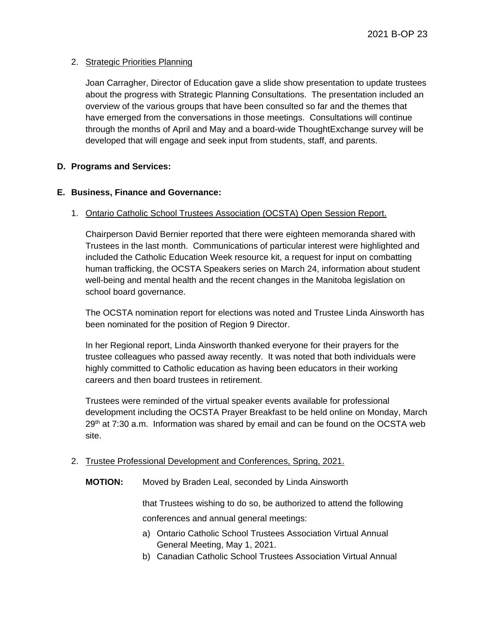#### 2. Strategic Priorities Planning

Joan Carragher, Director of Education gave a slide show presentation to update trustees about the progress with Strategic Planning Consultations. The presentation included an overview of the various groups that have been consulted so far and the themes that have emerged from the conversations in those meetings. Consultations will continue through the months of April and May and a board-wide ThoughtExchange survey will be developed that will engage and seek input from students, staff, and parents.

### **D. Programs and Services:**

### **E. Business, Finance and Governance:**

### 1. Ontario Catholic School Trustees Association (OCSTA) Open Session Report.

Chairperson David Bernier reported that there were eighteen memoranda shared with Trustees in the last month. Communications of particular interest were highlighted and included the Catholic Education Week resource kit, a request for input on combatting human trafficking, the OCSTA Speakers series on March 24, information about student well-being and mental health and the recent changes in the Manitoba legislation on school board governance.

The OCSTA nomination report for elections was noted and Trustee Linda Ainsworth has been nominated for the position of Region 9 Director.

In her Regional report, Linda Ainsworth thanked everyone for their prayers for the trustee colleagues who passed away recently. It was noted that both individuals were highly committed to Catholic education as having been educators in their working careers and then board trustees in retirement.

Trustees were reminded of the virtual speaker events available for professional development including the OCSTA Prayer Breakfast to be held online on Monday, March  $29<sup>th</sup>$  at 7:30 a.m. Information was shared by email and can be found on the OCSTA web site.

#### 2. Trustee Professional Development and Conferences, Spring, 2021.

**MOTION:** Moved by Braden Leal, seconded by Linda Ainsworth

that Trustees wishing to do so, be authorized to attend the following conferences and annual general meetings:

- a) Ontario Catholic School Trustees Association Virtual Annual General Meeting, May 1, 2021.
- b) Canadian Catholic School Trustees Association Virtual Annual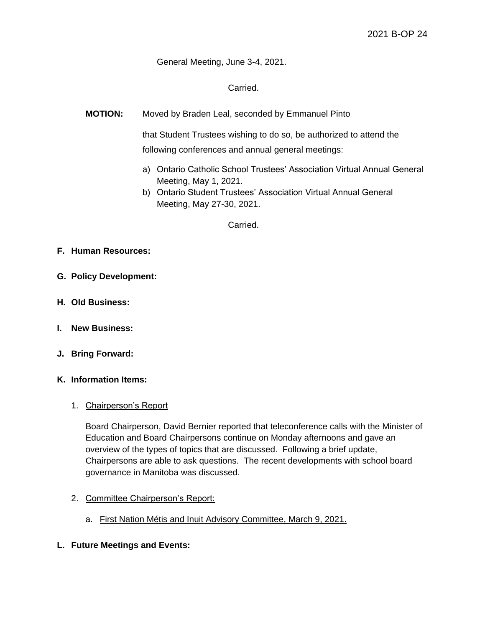General Meeting, June 3-4, 2021.

Carried.

**MOTION:** Moved by Braden Leal, seconded by Emmanuel Pinto

that Student Trustees wishing to do so, be authorized to attend the following conferences and annual general meetings:

- a) Ontario Catholic School Trustees' Association Virtual Annual General Meeting, May 1, 2021.
- b) Ontario Student Trustees' Association Virtual Annual General Meeting, May 27-30, 2021.

Carried.

- **F. Human Resources:**
- **G. Policy Development:**
- **H. Old Business:**
- **I. New Business:**
- **J. Bring Forward:**
- **K. Information Items:**

#### 1. Chairperson's Report

Board Chairperson, David Bernier reported that teleconference calls with the Minister of Education and Board Chairpersons continue on Monday afternoons and gave an overview of the types of topics that are discussed. Following a brief update, Chairpersons are able to ask questions. The recent developments with school board governance in Manitoba was discussed.

- 2. Committee Chairperson's Report:
	- a. First Nation Métis and Inuit Advisory Committee, March 9, 2021.
- **L. Future Meetings and Events:**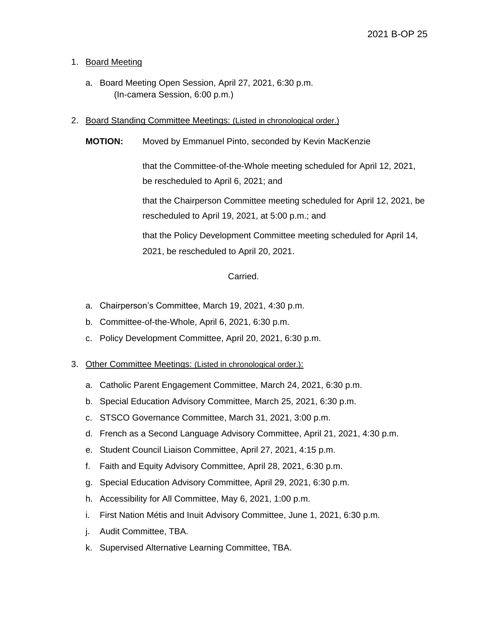#### 1. Board Meeting

- a. Board Meeting Open Session, April 27, 2021, 6:30 p.m. (In-camera Session, 6:00 p.m.)
- 2. Board Standing Committee Meetings: (Listed in chronological order.)
	- **MOTION:** Moved by Emmanuel Pinto, seconded by Kevin MacKenzie

that the Committee-of-the-Whole meeting scheduled for April 12, 2021, be rescheduled to April 6, 2021; and

that the Chairperson Committee meeting scheduled for April 12, 2021, be rescheduled to April 19, 2021, at 5:00 p.m.; and

that the Policy Development Committee meeting scheduled for April 14, 2021, be rescheduled to April 20, 2021.

#### Carried.

- a. Chairperson's Committee, March 19, 2021, 4:30 p.m.
- b. Committee-of-the-Whole, April 6, 2021, 6:30 p.m.
- c. Policy Development Committee, April 20, 2021, 6:30 p.m.

#### 3. Other Committee Meetings: (Listed in chronological order.):

- a. Catholic Parent Engagement Committee, March 24, 2021, 6:30 p.m.
- b. Special Education Advisory Committee, March 25, 2021, 6:30 p.m.
- c. STSCO Governance Committee, March 31, 2021, 3:00 p.m.
- d. French as a Second Language Advisory Committee, April 21, 2021, 4:30 p.m.
- e. Student Council Liaison Committee, April 27, 2021, 4:15 p.m.
- f. Faith and Equity Advisory Committee, April 28, 2021, 6:30 p.m.
- g. Special Education Advisory Committee, April 29, 2021, 6:30 p.m.
- h. Accessibility for All Committee, May 6, 2021, 1:00 p.m.
- i. First Nation Métis and Inuit Advisory Committee, June 1, 2021, 6:30 p.m.
- j. Audit Committee, TBA.
- k. Supervised Alternative Learning Committee, TBA.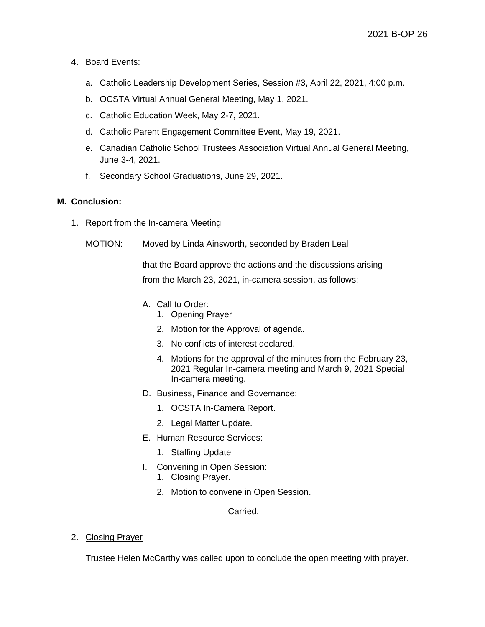#### 4. Board Events:

- a. Catholic Leadership Development Series, Session #3, April 22, 2021, 4:00 p.m.
- b. OCSTA Virtual Annual General Meeting, May 1, 2021.
- c. Catholic Education Week, May 2-7, 2021.
- d. Catholic Parent Engagement Committee Event, May 19, 2021.
- e. Canadian Catholic School Trustees Association Virtual Annual General Meeting, June 3-4, 2021.
- f. Secondary School Graduations, June 29, 2021.

#### **M. Conclusion:**

- 1. Report from the In-camera Meeting
	- MOTION: Moved by Linda Ainsworth, seconded by Braden Leal

that the Board approve the actions and the discussions arising from the March 23, 2021, in-camera session, as follows:

- A. Call to Order:
	- 1. Opening Prayer
	- 2. Motion for the Approval of agenda.
	- 3. No conflicts of interest declared.
	- 4. Motions for the approval of the minutes from the February 23, 2021 Regular In-camera meeting and March 9, 2021 Special In-camera meeting.
- D. Business, Finance and Governance:
	- 1. OCSTA In-Camera Report.
	- 2. Legal Matter Update.
- E. Human Resource Services:
	- 1. Staffing Update
- I. Convening in Open Session:
	- 1. Closing Prayer.
	- 2. Motion to convene in Open Session.

Carried.

2. Closing Prayer

Trustee Helen McCarthy was called upon to conclude the open meeting with prayer.